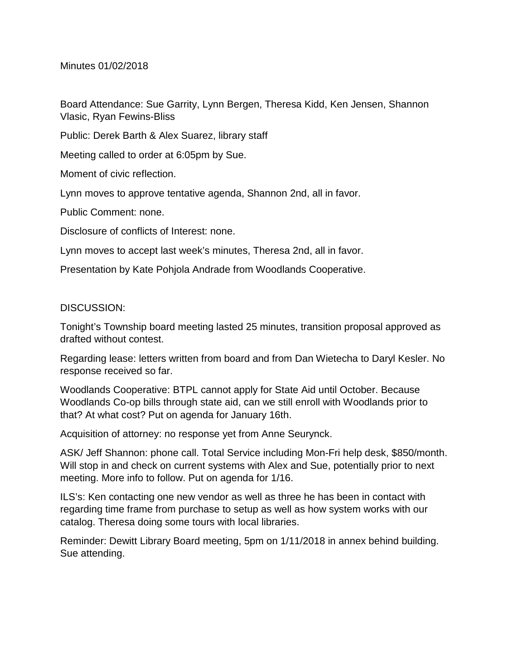Minutes 01/02/2018

Board Attendance: Sue Garrity, Lynn Bergen, Theresa Kidd, Ken Jensen, Shannon Vlasic, Ryan Fewins-Bliss

Public: Derek Barth & Alex Suarez, library staff

Meeting called to order at 6:05pm by Sue.

Moment of civic reflection.

Lynn moves to approve tentative agenda, Shannon 2nd, all in favor.

Public Comment: none.

Disclosure of conflicts of Interest: none.

Lynn moves to accept last week's minutes, Theresa 2nd, all in favor.

Presentation by Kate Pohjola Andrade from Woodlands Cooperative.

## DISCUSSION:

Tonight's Township board meeting lasted 25 minutes, transition proposal approved as drafted without contest.

Regarding lease: letters written from board and from Dan Wietecha to Daryl Kesler. No response received so far.

Woodlands Cooperative: BTPL cannot apply for State Aid until October. Because Woodlands Co-op bills through state aid, can we still enroll with Woodlands prior to that? At what cost? Put on agenda for January 16th.

Acquisition of attorney: no response yet from Anne Seurynck.

ASK/ Jeff Shannon: phone call. Total Service including Mon-Fri help desk, \$850/month. Will stop in and check on current systems with Alex and Sue, potentially prior to next meeting. More info to follow. Put on agenda for 1/16.

ILS's: Ken contacting one new vendor as well as three he has been in contact with regarding time frame from purchase to setup as well as how system works with our catalog. Theresa doing some tours with local libraries.

Reminder: Dewitt Library Board meeting, 5pm on 1/11/2018 in annex behind building. Sue attending.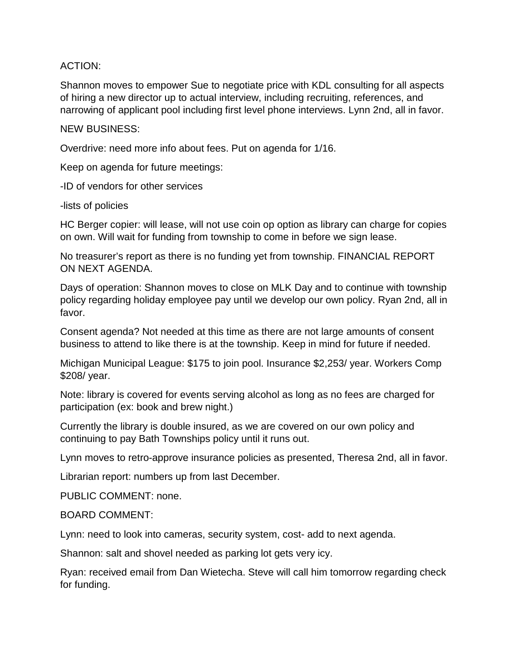## ACTION:

Shannon moves to empower Sue to negotiate price with KDL consulting for all aspects of hiring a new director up to actual interview, including recruiting, references, and narrowing of applicant pool including first level phone interviews. Lynn 2nd, all in favor.

## NEW BUSINESS:

Overdrive: need more info about fees. Put on agenda for 1/16.

Keep on agenda for future meetings:

-ID of vendors for other services

-lists of policies

HC Berger copier: will lease, will not use coin op option as library can charge for copies on own. Will wait for funding from township to come in before we sign lease.

No treasurer's report as there is no funding yet from township. FINANCIAL REPORT ON NEXT AGENDA.

Days of operation: Shannon moves to close on MLK Day and to continue with township policy regarding holiday employee pay until we develop our own policy. Ryan 2nd, all in favor.

Consent agenda? Not needed at this time as there are not large amounts of consent business to attend to like there is at the township. Keep in mind for future if needed.

Michigan Municipal League: \$175 to join pool. Insurance \$2,253/ year. Workers Comp \$208/ year.

Note: library is covered for events serving alcohol as long as no fees are charged for participation (ex: book and brew night.)

Currently the library is double insured, as we are covered on our own policy and continuing to pay Bath Townships policy until it runs out.

Lynn moves to retro-approve insurance policies as presented, Theresa 2nd, all in favor.

Librarian report: numbers up from last December.

PUBLIC COMMENT: none.

## BOARD COMMENT:

Lynn: need to look into cameras, security system, cost- add to next agenda.

Shannon: salt and shovel needed as parking lot gets very icy.

Ryan: received email from Dan Wietecha. Steve will call him tomorrow regarding check for funding.